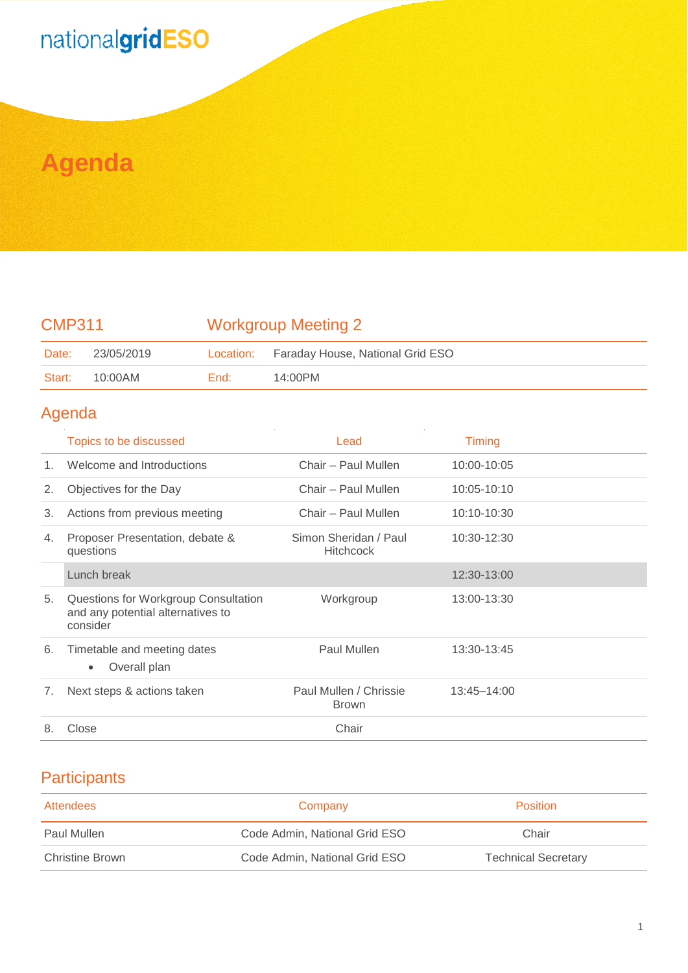# nationalgridESO

## **Agenda**

## CMP311 Workgroup Meeting 2

| Date:  | 23/05/2019 |      | Location: Faraday House, National Grid ESO |
|--------|------------|------|--------------------------------------------|
| Start: | 10:00AM    | End: | $14:00$ PM                                 |

### Agenda

|         | Topics to be discussed                                                                | Lead                                      | <b>Timing</b> |
|---------|---------------------------------------------------------------------------------------|-------------------------------------------|---------------|
| $1_{-}$ | Welcome and Introductions                                                             | Chair - Paul Mullen                       | 10:00-10:05   |
| 2.      | Objectives for the Day                                                                | Chair - Paul Mullen                       | 10:05-10:10   |
| 3.      | Actions from previous meeting                                                         | Chair - Paul Mullen                       | 10:10-10:30   |
| 4.      | Proposer Presentation, debate &<br>questions                                          | Simon Sheridan / Paul<br><b>Hitchcock</b> | 10:30-12:30   |
|         | Lunch break                                                                           |                                           | 12:30-13:00   |
| 5.      | Questions for Workgroup Consultation<br>and any potential alternatives to<br>consider | Workgroup                                 | 13:00-13:30   |
| 6.      | Timetable and meeting dates<br>Overall plan<br>$\bullet$                              | Paul Mullen                               | 13:30-13:45   |
| 7.      | Next steps & actions taken                                                            | Paul Mullen / Chrissie<br><b>Brown</b>    | 13:45-14:00   |
| 8.      | Close                                                                                 | Chair                                     |               |

### **Participants**

| Attendees              | Company                       | <b>Position</b>            |
|------------------------|-------------------------------|----------------------------|
| Paul Mullen            | Code Admin, National Grid ESO | Chair                      |
| <b>Christine Brown</b> | Code Admin, National Grid ESO | <b>Technical Secretary</b> |